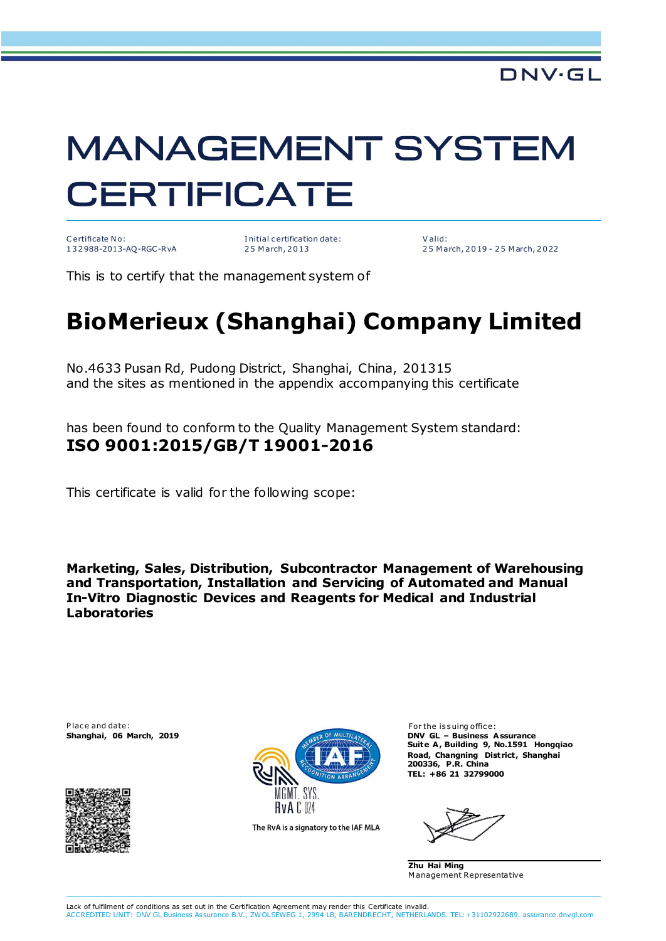## **MANAGEMENT SYSTEM CERTIFICATE**

C ertificate No: 1 3 2 988-2013-AQ-RGC-RvA I nitial c ertification date: 2 5 M arch, 2 0 13

V alid: 2 5 M arch, 2 0 19 - 2 5 M arch, 2 0 22

This is to certify that the management system of

## **BioMerieux (Shanghai) Company Limited**

No.4633 Pusan Rd, Pudong District, Shanghai, China, 201315 and the sites as mentioned in the appendix accompanying this certificate

has been found to conform to the Quality Management System standard: **ISO 9001:2015/GB/T 19001-2016**

This certificate is valid for the following scope:

**Marketing, Sales, Distribution, Subcontractor Management of Warehousing and Transportation, Installation and Servicing of Automated and Manual In-Vitro Diagnostic Devices and Reagents for Medical and Industrial Laboratories**

P lace and date: For the issuing office:





The RvA is a signatory to the IAF MLA

Suite A, Building 9, No.1591 Hongqiao **Road, Changning District , Shanghai 200336, P.R. China TEL: +86 21 32799000**

**Zhu Hai Ming** M anagement Representative